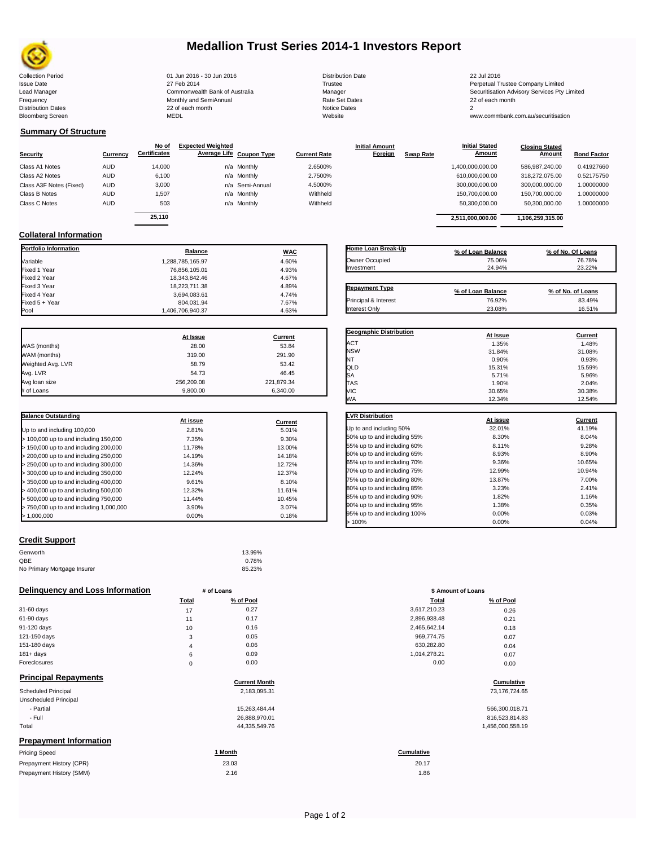

### **Medallion Trust Series 2014-1 Investors Report**

Collection Period 22 Jul 2016 - 30 Jun 2016 - 30 Jun 2016 20 Jul 2016 Distribution Date 22 Jul 2016 Issue Date 2014 27 Feb 2014 27 Feb 2014<br>Isaad Manager 2015 2017 Commonwealth Bank of Australia 2016 Manager 2016 2017 2017 Securitisation Advisory Services Pty Frequency Communication Communication Monthly and SemiAnnual Communication Communication Communication Communication Communication Communication Communication Communication Communication Communication Communication Communi n and the month of the contract of the contract of the contract of the contract of the contract of the contract of the contract of the contract of the contract of the contract of the contract of the contract of the contrac Bloomberg Screen MEDL Website www.commbank.com.au/securitisation

Lead Manager **Commonwealth Bank of Australia** Manager Manager Securitisation Advisory Services Pty Limited

**Closing Stated Amount**

### **Summary Of Structure**

**Collateral Information**

|                         |            | No of               | <b>Expected Weighted</b> |                 |                     | <b>Initial Amount</b> |                  | <b>Initial Stated</b> | <b>Closing Stated</b> |                    |
|-------------------------|------------|---------------------|--------------------------|-----------------|---------------------|-----------------------|------------------|-----------------------|-----------------------|--------------------|
| <b>Security</b>         | Currency   | <b>Certificates</b> | Average Life Coupon Type |                 | <b>Current Rate</b> | <b>Foreign</b>        | <b>Swap Rate</b> | <b>Amount</b>         | Amount                | <b>Bond Factor</b> |
| Class A1 Notes          | <b>AUD</b> | 14.000              |                          | n/a Monthly     | 2.6500%             |                       |                  | 1,400,000,000.00      | 586.987.240.00        | 0.41927660         |
| Class A2 Notes          | <b>AUD</b> | 6,100               |                          | n/a Monthly     | 2.7500%             |                       |                  | 610,000,000.00        | 318.272.075.00        | 0.52175750         |
| Class A3F Notes (Fixed) | <b>AUD</b> | 3,000               |                          | n/a Semi-Annual | 4.5000%             |                       |                  | 300,000,000.00        | 300.000.000.00        | 1.00000000         |
| Class B Notes           | AUD        | 1.507               |                          | n/a Monthly     | Withheld            |                       |                  | 150,700,000.00        | 150.700.000.00        | 1.00000000         |
| Class C Notes           | <b>AUD</b> | 503                 |                          | n/a Monthly     | Withheld            |                       |                  | 50,300,000.00         | 50,300,000.00         | 1.00000000         |
|                         |            | 25.110              |                          |                 |                     |                       |                  |                       |                       |                    |
|                         |            |                     |                          |                 |                     |                       |                  | 2.511.000.000.00      | 1.106.259.315.00      |                    |

**Portfolio Information Balance WAC** Variable 1,288,785,165.97 4.60% Fixed 1 Year 76,856,105.01 4.93% Fixed 2 Year 18,343,842.46 4.67% Fixed 3 Year 18,223,711.38 4.89%

Fixed 5 + Year 7.67% 7.67% 804,031.94<br>Pool 31,406,706,940.37 4.63% 804,031.94

1,406,706,940.37

| Home Loan Break-Up    | % of Loan Balance | % of No. Of Loans |
|-----------------------|-------------------|-------------------|
| Owner Occupied        | 75.06%            | 76.78%            |
| Investment            | 24.94%            | 23.22%            |
|                       |                   |                   |
| <b>Repayment Type</b> | % of Loan Balance | % of No. of Loans |
| Principal & Interest  | 76.92%            | 83.49%            |
| Interest Only         | 23.08%            | 16.51%            |

**Geographic Distribution**<br> **ACT ACT ACT ACT ACT ACT ACT ACT ACT ACT ACT ACT ACT ACT ACT ACT ACT ACT ACT ACT ACT ACT ACT ACT ACT ACT ACT** ACT 1.35% 1.48% NSW 31.84% 31.08% NT 0.90% 0.93%

**Initial Stated** 

|                   | At Issue   | <b>Current</b> |
|-------------------|------------|----------------|
| WAS (months)      | 28.00      | 53.84          |
| WAM (months)      | 319.00     | 291.90         |
| Weighted Avg. LVR | 58.79      | 53.42          |
| Avg. LVR          | 54.73      | 46.45          |
| Avg loan size     | 256.209.08 | 221,879.34     |
| # of Loans        | 9.800.00   | 6.340.00       |

3,694,083.61 4.74%<br>804,031.94 7.67%

| <b>Balance Outstanding</b>              |          |         |
|-----------------------------------------|----------|---------|
|                                         | At issue | Current |
| Up to and including 100,000             | 2.81%    | 5.01%   |
| $>$ 100,000 up to and including 150,000 | 7.35%    | 9.30%   |
| $>$ 150,000 up to and including 200,000 | 11.78%   | 13.00%  |
| > 200,000 up to and including 250,000   | 14.19%   | 14.18%  |
| > 250,000 up to and including 300,000   | 14.36%   | 12.72%  |
| > 300,000 up to and including 350,000   | 12.24%   | 12.37%  |
| > 350,000 up to and including 400,000   | 9.61%    | 8.10%   |
| $>$ 400,000 up to and including 500,000 | 12.32%   | 11.61%  |
| > 500,000 up to and including 750,000   | 11.44%   | 10.45%  |
| > 750,000 up to and including 1,000,000 | 3.90%    | 3.07%   |
| > 1.000.000                             | 0.00%    | 0.18%   |

| QLD                          | 15.31%   | 15.59%  |
|------------------------------|----------|---------|
| SA                           | 5.71%    | 5.96%   |
| TAS                          | 1.90%    | 2.04%   |
| VIC                          | 30.65%   | 30.38%  |
| WA                           | 12.34%   | 12.54%  |
| <b>LVR Distribution</b>      | At issue | Current |
| Up to and including 50%      | 32.01%   | 41.19%  |
| 50% up to and including 55%  | 8.30%    | 8.04%   |
| 55% up to and including 60%  | 8.11%    | 9.28%   |
| 60% up to and including 65%  | 8.93%    | 8.90%   |
| 65% up to and including 70%  | 9.36%    | 10.65%  |
| 70% up to and including 75%  | 12.99%   | 10.94%  |
| 75% up to and including 80%  | 13.87%   | 7.00%   |
| 80% up to and including 85%  | 3.23%    | 2.41%   |
| 85% up to and including 90%  | 1.82%    | 1.16%   |
| 90% up to and including 95%  | 1.38%    | 0.35%   |
| 95% up to and including 100% | 0.00%    | 0.03%   |

#### **Credit Support**

| Genworth                    | 13.99% |
|-----------------------------|--------|
| QBE                         | 0.78%  |
| No Primary Mortgage Insurer | 85.23% |

#### **Delinquency and Loss Information # of Loans**

|              | <b>Total</b> | % of Pool | Total        | % of Pool |
|--------------|--------------|-----------|--------------|-----------|
| 31-60 days   | 17           | 0.27      | 3,617,210.23 | 0.26      |
| 61-90 days   | 11           | 0.17      | 2,896,938.48 | 0.21      |
| 91-120 days  | 10           | 0.16      | 2,465,642.14 | 0.18      |
| 121-150 days | っ<br>C       | 0.05      | 969,774.75   | 0.07      |
| 151-180 days | 4            | 0.06      | 630,282.80   | 0.04      |
| $181 + days$ | 6            | 0.09      | 1.014.278.21 | 0.07      |
| Foreclosures | $\Omega$     | 0.00      | 0.00         | 0.00      |

#### **Principal Repayments**

Prepayment History (SMM)

| Principal Repayments          | <b>Current Month</b> | Cumulative       |
|-------------------------------|----------------------|------------------|
| <b>Scheduled Principal</b>    | 2,183,095.31         | 73,176,724.65    |
| Unscheduled Principal         |                      |                  |
| - Partial                     | 15,263,484.44        | 566,300,018.71   |
| - Full                        | 26,888,970.01        | 816,523,814.83   |
| Total                         | 44,335,549.76        | 1,456,000,558.19 |
| <b>Prepayment Information</b> |                      |                  |
| Pricing Speed                 | 1 Month              | Cumulative       |
| Prepayment History (CPR)      | 23.03                | 20.17            |

| 0.00%        |            | 0.18% | 95% up to and including 100% | 0.00%              | 0.03% |
|--------------|------------|-------|------------------------------|--------------------|-------|
|              |            |       | $>100\%$                     | 0.00%              | 0.04% |
|              |            |       |                              |                    |       |
|              | 13.99%     |       |                              |                    |       |
|              | 0.78%      |       |                              |                    |       |
|              | 85.23%     |       |                              |                    |       |
|              | # of Loans |       |                              | \$ Amount of Loans |       |
| <b>Total</b> | % of Pool  |       |                              | % of Pool<br>Total |       |
| 17           | 0.27       |       | 3,617,210.23                 | 0.26               |       |
| 11           | 0.17       |       | 2,896,938.48                 | 0.21               |       |
|              |            |       |                              |                    |       |

| 5,642.14 | 0.1 |
|----------|-----|
| 9.774.75 | 0.0 |
| 0.282.80 | 0.0 |
| 4,278.21 | 0.0 |
| 0.00     | 0.0 |
|          |     |

# **Cumulative Cumulative**

| 566,300,018.71   |
|------------------|
| 816,523,814.83   |
| 1,456,000,558.19 |

## 20.17

 $2.16$  1.86